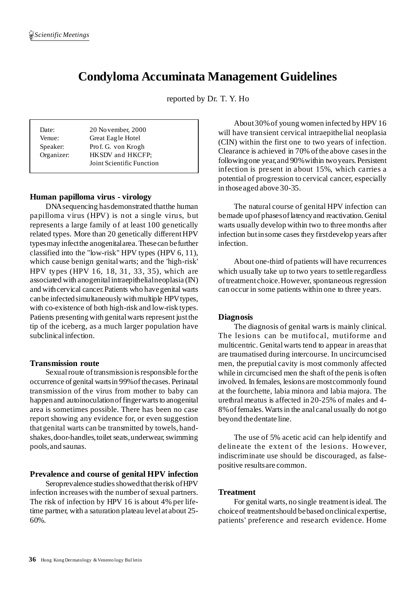# **Condyloma Accuminata Management Guidelines**

reported by Dr. T. Y. Ho

| Date:<br>Venue: | 20 November, 2000<br>Great Eagle Hotel        |
|-----------------|-----------------------------------------------|
| Speaker:        | Prof. G. von Krogh                            |
| Organizer:      | HKSDV and HKCFP:<br>Joint Scientific Function |

# **Human papilloma virus - virology**

DNAsequencing hasdemonstrated thatthe human papilloma virus (HPV) is not a single virus, but represents a large family of at least 100 genetically related types. More than 20 genetically differentHPV typesmay infectthe anogenitalarea.Thesecan befurther classified into the "low-risk" HPV types (HPV 6, 11), which cause benign genitalwarts; and the 'high-risk' HPV types (HPV 16, 18, 31, 33, 35), which are associated with anogenitalintraepithelialneoplasia (IN) and withcervical cancer.Patients who havegenital warts can be infected simultaneously with multiple HPV types, with co-existence of both high-risk and low-risk types. Patients presenting with genital warts represent just the tip of the iceberg, as a much larger population have subclinical infection.

#### **Transmission route**

Sexual route of transmission is responsible for the occurrence of genital warts in 99% of the cases. Perinatal transmission of the virus from mother to baby can happen and autoinoculation of finger warts to anogenital area is sometimes possible. There has been no case report showing any evidence for, or even suggestion thatgenital warts can be transmitted by towels, handshakes, door-handles, toilet seats, underwear, swimming pools,and saunas.

# **Prevalence and course of genital HPV infection**

Seroprevalence studies showed that the risk of HPV infection increaseswith the number of sexual partners. The risk of infection by HPV 16 is about 4% per lifetime partner, with a saturation plateau level at about 25- 60%.

About30%of young women infected by HPV 16 will have transient cervical intraepithelial neoplasia (CIN) within the first one to two years of infection. Clearance is achieved in 70% ofthe above casesin the followingone year,and 90%within twoyears. Persistent infection is present in about 15%, which carries a potential of progression to cervical cancer, especially in thoseaged above 30-35.

The natural course of genital HPV infection can bemade upof phasesoflatencyand reactivation. Genital warts usually develop within two to three months after infection butinsome cases they firstdevelop years after infection.

About one-third of patients will have recurrences which usually take up to two years to settle regardless oftreatment choice.However, spontaneous regression can occur in some patients within one to three years.

# **Diagnosis**

The diagnosis of genital warts is mainly clinical. The lesions can be mutifocal, mutiforme and multicentric. Genitalwarts tend to appear in areasthat are traumatised during intercourse. In uncircumcised men, the preputial cavity is most commonly affected while in circumcised men the shaft of the penis is often involved. In females, lesions are mostcommonly found at the fourchette, labia minora and labia majora. The urethral meatus is affected in 20-25% of males and 4- 8%offemales.Wartsin the anal canalusually do notgo beyond thedentate line.

The use of 5% acetic acid can help identify and delineate the extent of the lesions. However, indiscriminate use should be discouraged, as falsepositive resultsare common.

#### **Treatment**

For genital warts, no single treatmentisideal. The choiceof treatmentshould bebased onclinical expertise, patients' preference and research evidence. Home